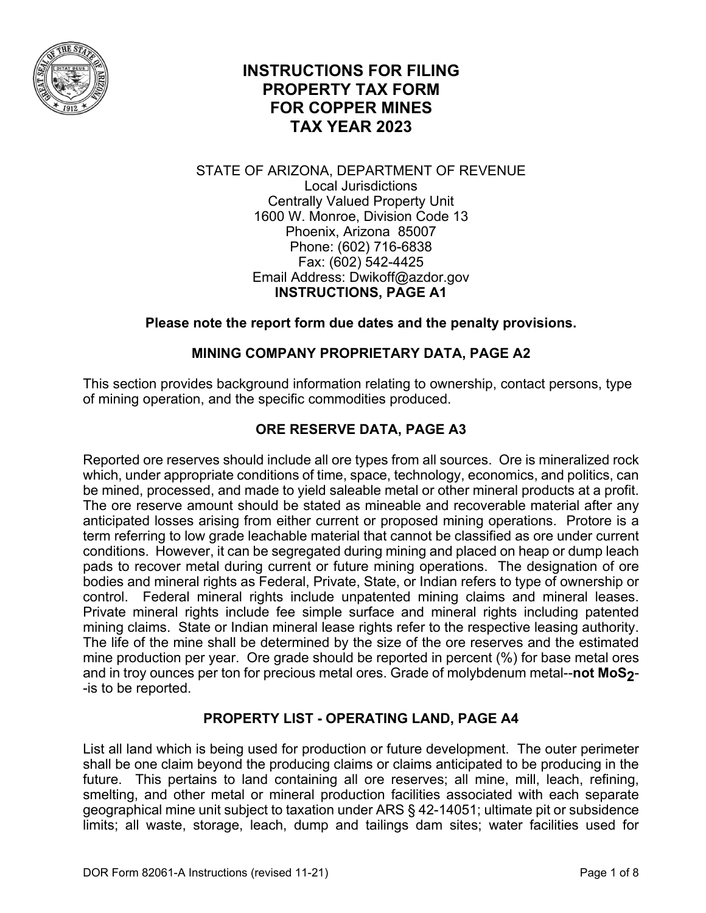

# **INSTRUCTIONS FOR FILING PROPERTY TAX FORM FOR COPPER MINES TAX YEAR 2023**

#### STATE OF ARIZONA, DEPARTMENT OF REVENUE Local Jurisdictions Centrally Valued Property Unit 1600 W. Monroe, Division Code 13 Phoenix, Arizona 85007 Phone: (602) 716-6838 Fax: (602) 542-4425 Email Address: Dwikoff@azdor.gov **INSTRUCTIONS, PAGE A1**

## **Please note the report form due dates and the penalty provisions.**

## **MINING COMPANY PROPRIETARY DATA, PAGE A2**

This section provides background information relating to ownership, contact persons, type of mining operation, and the specific commodities produced.

# **ORE RESERVE DATA, PAGE A3**

Reported ore reserves should include all ore types from all sources. Ore is mineralized rock which, under appropriate conditions of time, space, technology, economics, and politics, can be mined, processed, and made to yield saleable metal or other mineral products at a profit. The ore reserve amount should be stated as mineable and recoverable material after any anticipated losses arising from either current or proposed mining operations. Protore is a term referring to low grade leachable material that cannot be classified as ore under current conditions. However, it can be segregated during mining and placed on heap or dump leach pads to recover metal during current or future mining operations. The designation of ore bodies and mineral rights as Federal, Private, State, or Indian refers to type of ownership or control. Federal mineral rights include unpatented mining claims and mineral leases. Private mineral rights include fee simple surface and mineral rights including patented mining claims. State or Indian mineral lease rights refer to the respective leasing authority. The life of the mine shall be determined by the size of the ore reserves and the estimated mine production per year. Ore grade should be reported in percent (%) for base metal ores and in troy ounces per ton for precious metal ores. Grade of molybdenum metal--not MoS<sub>2</sub>--is to be reported.

## **PROPERTY LIST - OPERATING LAND, PAGE A4**

List all land which is being used for production or future development. The outer perimeter shall be one claim beyond the producing claims or claims anticipated to be producing in the future. This pertains to land containing all ore reserves; all mine, mill, leach, refining, smelting, and other metal or mineral production facilities associated with each separate geographical mine unit subject to taxation under ARS § 42-14051; ultimate pit or subsidence limits; all waste, storage, leach, dump and tailings dam sites; water facilities used for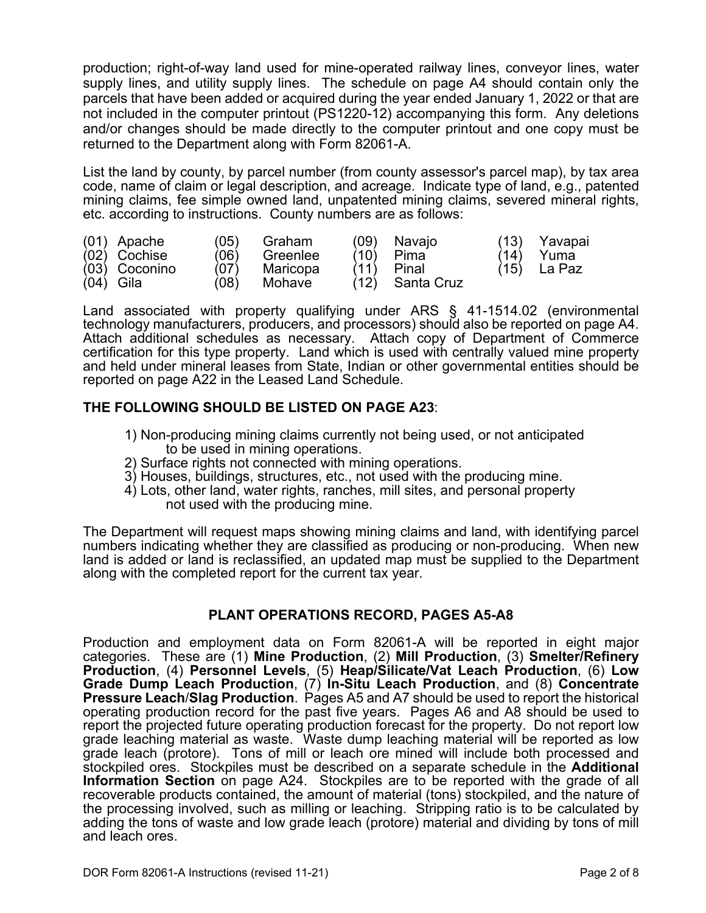production; right-of-way land used for mine-operated railway lines, conveyor lines, water supply lines, and utility supply lines. The schedule on page A4 should contain only the parcels that have been added or acquired during the year ended January 1, 2022 or that are not included in the computer printout (PS1220-12) accompanying this form. Any deletions and/or changes should be made directly to the computer printout and one copy must be returned to the Department along with Form 82061-A.

List the land by county, by parcel number (from county assessor's parcel map), by tax area code, name of claim or legal description, and acreage. Indicate type of land, e.g., patented mining claims, fee simple owned land, unpatented mining claims, severed mineral rights, etc. according to instructions. County numbers are as follows:

| (01) Apache    | (05) | Graham   | (09) | Navajo     | (13) | Yavapai       |
|----------------|------|----------|------|------------|------|---------------|
| $(02)$ Cochise | (06) | Greenlee | (10) | Pima       | (14) | Yuma          |
| (03) Coconino  | (07) | Maricopa | (11) | Pinal      |      | $(15)$ La Paz |
| $(04)$ Gila    | (08) | Mohave   | (12) | Santa Cruz |      |               |

Land associated with property qualifying under ARS § 41-1514.02 (environmental technology manufacturers, producers, and processors) should also be reported on page A4. Attach additional schedules as necessary. Attach copy of Department of Commerce certification for this type property. Land which is used with centrally valued mine property and held under mineral leases from State, Indian or other governmental entities should be reported on page A22 in the Leased Land Schedule.

## **THE FOLLOWING SHOULD BE LISTED ON PAGE A23**:

- 1) Non-producing mining claims currently not being used, or not anticipated to be used in mining operations.
- 2) Surface rights not connected with mining operations.
- 3) Houses, buildings, structures, etc., not used with the producing mine.
- 4) Lots, other land, water rights, ranches, mill sites, and personal property not used with the producing mine.

The Department will request maps showing mining claims and land, with identifying parcel numbers indicating whether they are classified as producing or non-producing. When new land is added or land is reclassified, an updated map must be supplied to the Department along with the completed report for the current tax year.

## **PLANT OPERATIONS RECORD, PAGES A5-A8**

Production and employment data on Form 82061-A will be reported in eight major categories. These are (1) **Mine Production**, (2) **Mill Production**, (3) **Smelter/Refinery Production**, (4) **Personnel Levels**, (5) **Heap/Silicate/Vat Leach Production**, (6) **Low Grade Dump Leach Production**, (7) **In-Situ Leach Production**, and (8) **Concentrate Pressure Leach**/**Slag Production**. Pages A5 and A7 should be used to report the historical operating production record for the past five years. Pages A6 and A8 should be used to report the projected future operating production forecast for the property. Do not report low grade leaching material as waste. Waste dump leaching material will be reported as low grade leach (protore). Tons of mill or leach ore mined will include both processed and stockpiled ores. Stockpiles must be described on a separate schedule in the **Additional Information Section** on page A24. Stockpiles are to be reported with the grade of all recoverable products contained, the amount of material (tons) stockpiled, and the nature of the processing involved, such as milling or leaching. Stripping ratio is to be calculated by adding the tons of waste and low grade leach (protore) material and dividing by tons of mill and leach ores.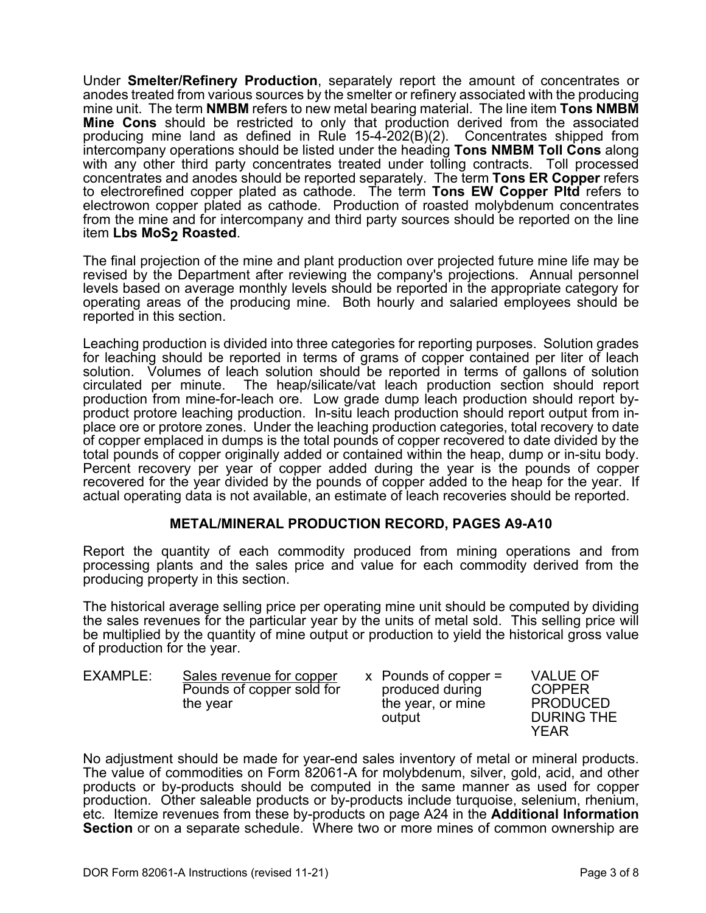Under **Smelter/Refinery Production**, separately report the amount of concentrates or anodes treated from various sources by the smelter or refinery associated with the producing mine unit. The term **NMBM** refers to new metal bearing material. The line item **Tons NMBM Mine Cons** should be restricted to only that production derived from the associated producing mine land as defined in Rule 15-4-202(B)(2). Concentrates shipped from intercompany operations should be listed under the heading **Tons NMBM Toll Cons** along with any other third party concentrates treated under tolling contracts. Toll processed concentrates and anodes should be reported separately. The term **Tons ER Copper** refers to electrorefined copper plated as cathode. The term **Tons EW Copper Pltd** refers to electrowon copper plated as cathode. Production of roasted molybdenum concentrates from the mine and for intercompany and third party sources should be reported on the line item Lbs MoS<sub>2</sub> Roasted.

The final projection of the mine and plant production over projected future mine life may be revised by the Department after reviewing the company's projections. Annual personnel levels based on average monthly levels should be reported in the appropriate category for operating areas of the producing mine. Both hourly and salaried employees should be reported in this section.

Leaching production is divided into three categories for reporting purposes. Solution grades for leaching should be reported in terms of grams of copper contained per liter of leach solution. Volumes of leach solution should be reported in terms of gallons of solution circulated per minute. The heap/silicate/vat leach production section should report production from mine-for-leach ore. Low grade dump leach production should report byproduct protore leaching production. In-situ leach production should report output from inplace ore or protore zones. Under the leaching production categories, total recovery to date of copper emplaced in dumps is the total pounds of copper recovered to date divided by the total pounds of copper originally added or contained within the heap, dump or in-situ body. Percent recovery per year of copper added during the year is the pounds of copper recovered for the year divided by the pounds of copper added to the heap for the year. If actual operating data is not available, an estimate of leach recoveries should be reported.

## **METAL/MINERAL PRODUCTION RECORD, PAGES A9-A10**

Report the quantity of each commodity produced from mining operations and from processing plants and the sales price and value for each commodity derived from the producing property in this section.

The historical average selling price per operating mine unit should be computed by dividing the sales revenues for the particular year by the units of metal sold. This selling price will be multiplied by the quantity of mine output or production to yield the historical gross value of production for the year.

| EXAMPLE: | Sales revenue for copper<br>Pounds of copper sold for<br>the year | $x$ Pounds of copper =<br>produced during<br>the year, or mine<br>output | <b>VALUE OF</b><br><b>COPPER</b><br><b>PRODUCED</b><br><b>DURING THE</b><br>YFAR |
|----------|-------------------------------------------------------------------|--------------------------------------------------------------------------|----------------------------------------------------------------------------------|
|----------|-------------------------------------------------------------------|--------------------------------------------------------------------------|----------------------------------------------------------------------------------|

No adjustment should be made for year-end sales inventory of metal or mineral products. The value of commodities on Form 82061-A for molybdenum, silver, gold, acid, and other products or by-products should be computed in the same manner as used for copper production. Other saleable products or by-products include turquoise, selenium, rhenium, etc. Itemize revenues from these by-products on page A24 in the **Additional Information Section** or on a separate schedule. Where two or more mines of common ownership are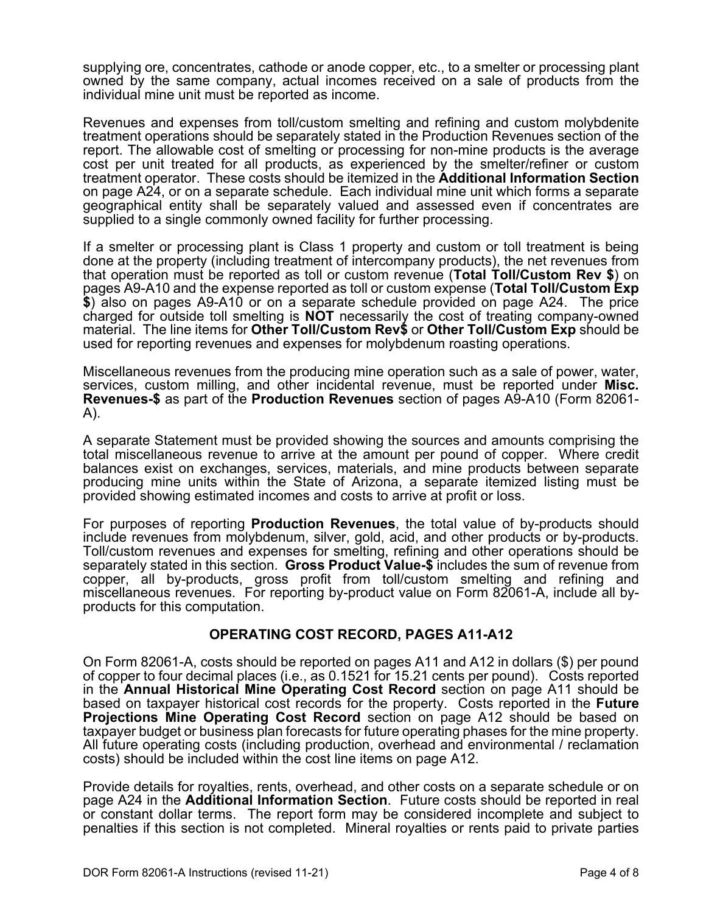supplying ore, concentrates, cathode or anode copper, etc., to a smelter or processing plant owned by the same company, actual incomes received on a sale of products from the individual mine unit must be reported as income.

Revenues and expenses from toll/custom smelting and refining and custom molybdenite treatment operations should be separately stated in the Production Revenues section of the report. The allowable cost of smelting or processing for non-mine products is the average cost per unit treated for all products, as experienced by the smelter/refiner or custom treatment operator. These costs should be itemized in the **Additional Information Section** on page A24, or on a separate schedule. Each individual mine unit which forms a separate geographical entity shall be separately valued and assessed even if concentrates are supplied to a single commonly owned facility for further processing.

If a smelter or processing plant is Class 1 property and custom or toll treatment is being done at the property (including treatment of intercompany products), the net revenues from that operation must be reported as toll or custom revenue (**Total Toll/Custom Rev \$**) on pages A9-A10 and the expense reported as toll or custom expense (**Total Toll/Custom Exp \$**) also on pages A9-A10 or on a separate schedule provided on page A24. The price charged for outside toll smelting is **NOT** necessarily the cost of treating company-owned material. The line items for **Other Toll/Custom Rev\$** or **Other Toll/Custom Exp** should be used for reporting revenues and expenses for molybdenum roasting operations.

Miscellaneous revenues from the producing mine operation such as a sale of power, water, services, custom milling, and other incidental revenue, must be reported under **Misc. Revenues-\$** as part of the **Production Revenues** section of pages A9-A10 (Form 82061- A).

A separate Statement must be provided showing the sources and amounts comprising the total miscellaneous revenue to arrive at the amount per pound of copper. Where credit balances exist on exchanges, services, materials, and mine products between separate producing mine units within the State of Arizona, a separate itemized listing must be provided showing estimated incomes and costs to arrive at profit or loss.

For purposes of reporting **Production Revenues**, the total value of by-products should include revenues from molybdenum, silver, gold, acid, and other products or by-products. Toll/custom revenues and expenses for smelting, refining and other operations should be separately stated in this section. **Gross Product Value-\$** includes the sum of revenue from copper, all by-products, gross profit from toll/custom smelting and refining and miscellaneous revenues. For reporting by-product value on Form 82061-A, include all byproducts for this computation.

## **OPERATING COST RECORD, PAGES A11-A12**

On Form 82061-A, costs should be reported on pages A11 and A12 in dollars (\$) per pound of copper to four decimal places (i.e., as 0.1521 for 15.21 cents per pound). Costs reported in the **Annual Historical Mine Operating Cost Record** section on page A11 should be based on taxpayer historical cost records for the property. Costs reported in the **Future Projections Mine Operating Cost Record** section on page A12 should be based on taxpayer budget or business plan forecasts for future operating phases for the mine property. All future operating costs (including production, overhead and environmental / reclamation costs) should be included within the cost line items on page A12.

Provide details for royalties, rents, overhead, and other costs on a separate schedule or on page A24 in the **Additional Information Section**. Future costs should be reported in real or constant dollar terms. The report form may be considered incomplete and subject to penalties if this section is not completed. Mineral royalties or rents paid to private parties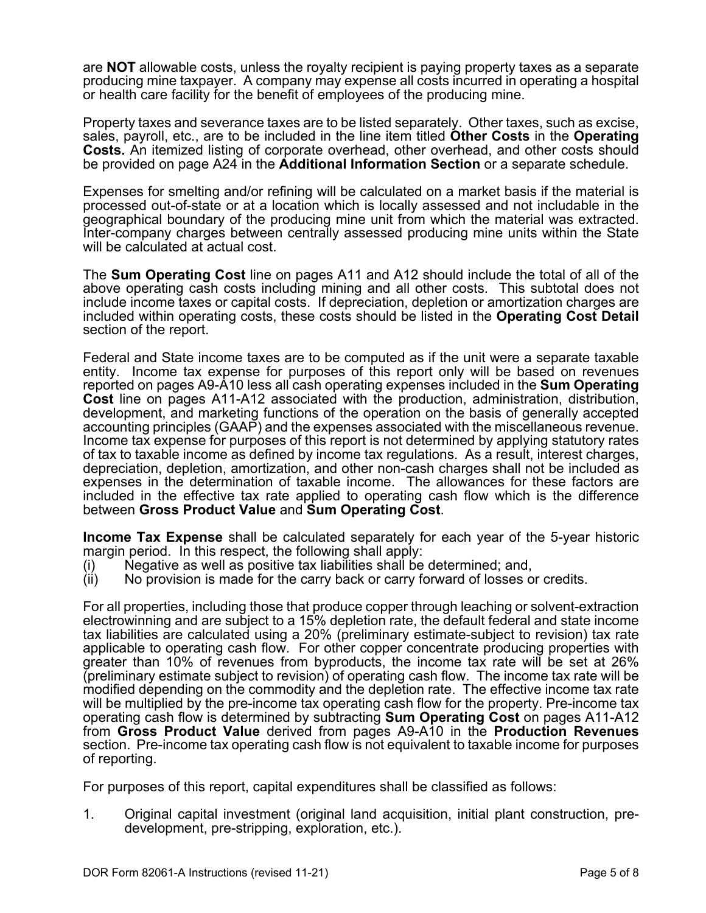are **NOT** allowable costs, unless the royalty recipient is paying property taxes as a separate producing mine taxpayer. A company may expense all costs incurred in operating a hospital or health care facility for the benefit of employees of the producing mine.

Property taxes and severance taxes are to be listed separately. Other taxes, such as excise, sales, payroll, etc., are to be included in the line item titled **Other Costs** in the **Operating Costs.** An itemized listing of corporate overhead, other overhead, and other costs should be provided on page A24 in the **Additional Information Section** or a separate schedule.

Expenses for smelting and/or refining will be calculated on a market basis if the material is processed out-of-state or at a location which is locally assessed and not includable in the geographical boundary of the producing mine unit from which the material was extracted. Inter-company charges between centrally assessed producing mine units within the State will be calculated at actual cost.

The **Sum Operating Cost** line on pages A11 and A12 should include the total of all of the above operating cash costs including mining and all other costs. This subtotal does not include income taxes or capital costs. If depreciation, depletion or amortization charges are included within operating costs, these costs should be listed in the **Operating Cost Detail**  section of the report.

Federal and State income taxes are to be computed as if the unit were a separate taxable entity. Income tax expense for purposes of this report only will be based on revenues reported on pages A9-A10 less all cash operating expenses included in the **Sum Operating Cost** line on pages A11-A12 associated with the production, administration, distribution, development, and marketing functions of the operation on the basis of generally accepted accounting principles (GAAP) and the expenses associated with the miscellaneous revenue. Income tax expense for purposes of this report is not determined by applying statutory rates of tax to taxable income as defined by income tax regulations. As a result, interest charges, depreciation, depletion, amortization, and other non-cash charges shall not be included as expenses in the determination of taxable income. The allowances for these factors are included in the effective tax rate applied to operating cash flow which is the difference between **Gross Product Value** and **Sum Operating Cost**.

**Income Tax Expense** shall be calculated separately for each year of the 5-year historic margin period. In this respect, the following shall apply:

- (i) Negative as well as positive tax liabilities shall be determined; and, (ii) No provision is made for the carry back or carry forward of losses o
- No provision is made for the carry back or carry forward of losses or credits.

For all properties, including those that produce copper through leaching or solvent-extraction electrowinning and are subject to a 15% depletion rate, the default federal and state income tax liabilities are calculated using a 20% (preliminary estimate-subject to revision) tax rate applicable to operating cash flow. For other copper concentrate producing properties with greater than 10% of revenues from byproducts, the income tax rate will be set at 26% (preliminary estimate subject to revision) of operating cash flow. The income tax rate will be modified depending on the commodity and the depletion rate. The effective income tax rate will be multiplied by the pre-income tax operating cash flow for the property. Pre-income tax operating cash flow is determined by subtracting **Sum Operating Cost** on pages A11-A12 from **Gross Product Value** derived from pages A9-A10 in the **Production Revenues** section. Pre-income tax operating cash flow is not equivalent to taxable income for purposes of reporting.

For purposes of this report, capital expenditures shall be classified as follows:

1. Original capital investment (original land acquisition, initial plant construction, predevelopment, pre-stripping, exploration, etc.).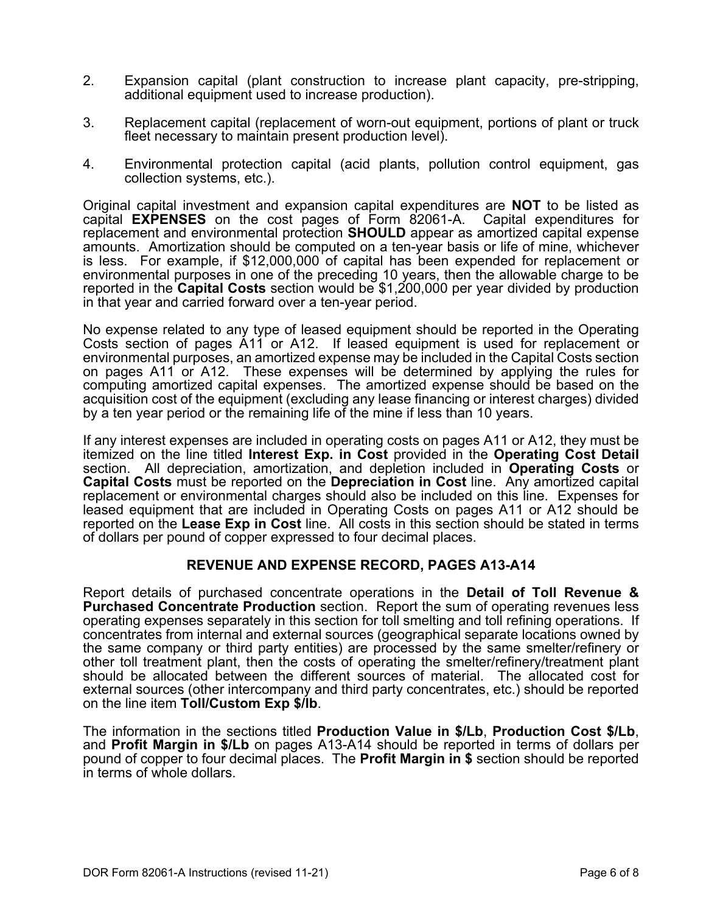- 2. Expansion capital (plant construction to increase plant capacity, pre-stripping, additional equipment used to increase production).
- 3. Replacement capital (replacement of worn-out equipment, portions of plant or truck fleet necessary to maintain present production level).
- 4. Environmental protection capital (acid plants, pollution control equipment, gas collection systems, etc.).

Original capital investment and expansion capital expenditures are **NOT** to be listed as capital **EXPENSES** on the cost pages of Form 82061-A. Capital expenditures for replacement and environmental protection **SHOULD** appear as amortized capital expense amounts. Amortization should be computed on a ten-year basis or life of mine, whichever is less. For example, if \$12,000,000 of capital has been expended for replacement or environmental purposes in one of the preceding 10 years, then the allowable charge to be reported in the **Capital Costs** section would be \$1,200,000 per year divided by production in that year and carried forward over a ten-year period.

No expense related to any type of leased equipment should be reported in the Operating Costs section of pages A11 or A12. If leased equipment is used for replacement or environmental purposes, an amortized expense may be included in the Capital Costs section on pages A11 or A12. These expenses will be determined by applying the rules for computing amortized capital expenses. The amortized expense should be based on the acquisition cost of the equipment (excluding any lease financing or interest charges) divided by a ten year period or the remaining life of the mine if less than 10 years.

If any interest expenses are included in operating costs on pages A11 or A12, they must be itemized on the line titled **Interest Exp. in Cost** provided in the **Operating Cost Detail** section. All depreciation, amortization, and depletion included in **Operating Costs** or **Capital Costs** must be reported on the **Depreciation in Cost** line. Any amortized capital replacement or environmental charges should also be included on this line. Expenses for leased equipment that are included in Operating Costs on pages A11 or A12 should be reported on the **Lease Exp in Cost** line. All costs in this section should be stated in terms of dollars per pound of copper expressed to four decimal places.

## **REVENUE AND EXPENSE RECORD, PAGES A13-A14**

Report details of purchased concentrate operations in the **Detail of Toll Revenue & Purchased Concentrate Production** section. Report the sum of operating revenues less operating expenses separately in this section for toll smelting and toll refining operations. If concentrates from internal and external sources (geographical separate locations owned by the same company or third party entities) are processed by the same smelter/refinery or other toll treatment plant, then the costs of operating the smelter/refinery/treatment plant should be allocated between the different sources of material. The allocated cost for external sources (other intercompany and third party concentrates, etc.) should be reported on the line item **Toll/Custom Exp \$/lb**.

The information in the sections titled **Production Value in \$/Lb**, **Production Cost \$/Lb**, and **Profit Margin in \$/Lb** on pages A13-A14 should be reported in terms of dollars per pound of copper to four decimal places. The **Profit Margin in \$** section should be reported in terms of whole dollars.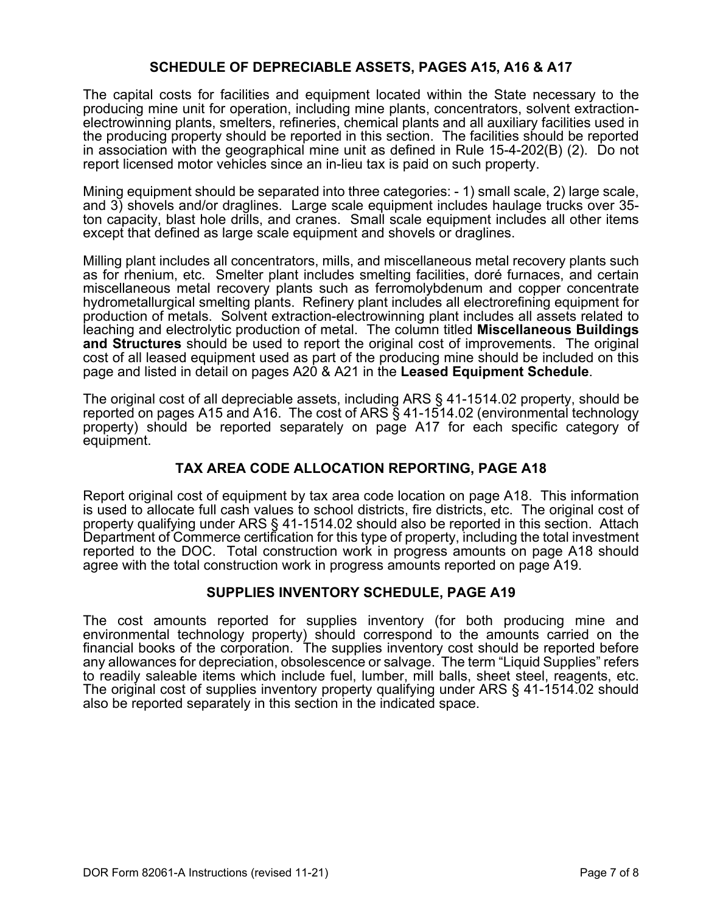## **SCHEDULE OF DEPRECIABLE ASSETS, PAGES A15, A16 & A17**

The capital costs for facilities and equipment located within the State necessary to the producing mine unit for operation, including mine plants, concentrators, solvent extractionelectrowinning plants, smelters, refineries, chemical plants and all auxiliary facilities used in the producing property should be reported in this section. The facilities should be reported in association with the geographical mine unit as defined in Rule 15-4-202(B) (2). Do not report licensed motor vehicles since an in-lieu tax is paid on such property.

Mining equipment should be separated into three categories: - 1) small scale, 2) large scale, and 3) shovels and/or draglines. Large scale equipment includes haulage trucks over 35 ton capacity, blast hole drills, and cranes. Small scale equipment includes all other items except that defined as large scale equipment and shovels or draglines.

Milling plant includes all concentrators, mills, and miscellaneous metal recovery plants such as for rhenium, etc. Smelter plant includes smelting facilities, doré furnaces, and certain miscellaneous metal recovery plants such as ferromolybdenum and copper concentrate hydrometallurgical smelting plants. Refinery plant includes all electrorefining equipment for production of metals. Solvent extraction-electrowinning plant includes all assets related to leaching and electrolytic production of metal. The column titled **Miscellaneous Buildings and Structures** should be used to report the original cost of improvements. The original cost of all leased equipment used as part of the producing mine should be included on this page and listed in detail on pages A20 & A21 in the **Leased Equipment Schedule**.

The original cost of all depreciable assets, including ARS § 41-1514.02 property, should be reported on pages A15 and A16. The cost of ARS § 41-1514.02 (environmental technology property) should be reported separately on page A17 for each specific category of equipment.

## **TAX AREA CODE ALLOCATION REPORTING, PAGE A18**

Report original cost of equipment by tax area code location on page A18. This information is used to allocate full cash values to school districts, fire districts, etc. The original cost of property qualifying under ARS § 41-1514.02 should also be reported in this section. Attach Department of Commerce certification for this type of property, including the total investment reported to the DOC. Total construction work in progress amounts on page A18 should agree with the total construction work in progress amounts reported on page A19.

#### **SUPPLIES INVENTORY SCHEDULE, PAGE A19**

The cost amounts reported for supplies inventory (for both producing mine and environmental technology property) should correspond to the amounts carried on the financial books of the corporation. The supplies inventory cost should be reported before any allowances for depreciation, obsolescence or salvage. The term "Liquid Supplies" refers to readily saleable items which include fuel, lumber, mill balls, sheet steel, reagents, etc. The original cost of supplies inventory property qualifying under ARS § 41-1514.02 should also be reported separately in this section in the indicated space.